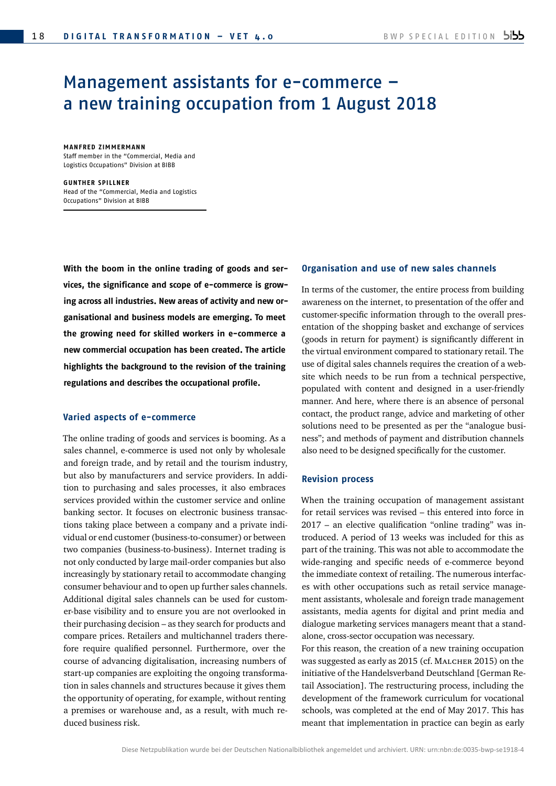# Management assistants for e-commerce – a new training occupation from 1 August 2018

**MANFRED ZIMMERMANN** Staff member in the "Commercial, Media and Logistics Occupations" Division at BIBB

**GUNTHER SPILLNER** Head of the "Commercial, Media and Logistics Occupations" Division at BIBB

**With the boom in the online trading of goods and services, the significance and scope of e-commerce is growing across all industries. New areas of activity and new organisational and business models are emerging. To meet the growing need for skilled workers in e-commerce a new commercial occupation has been created. The article highlights the background to the revision of the training regulations and describes the occupational profile.**

## **Varied aspects of e-commerce**

The online trading of goods and services is booming. As a sales channel, e-commerce is used not only by wholesale and foreign trade, and by retail and the tourism industry, but also by manufacturers and service providers. In addition to purchasing and sales processes, it also embraces services provided within the customer service and online banking sector. It focuses on electronic business transactions taking place between a company and a private individual or end customer (business-to-consumer) or between two companies (business-to-business). Internet trading is not only conducted by large mail-order companies but also increasingly by stationary retail to accommodate changing consumer behaviour and to open up further sales channels. Additional digital sales channels can be used for customer-base visibility and to ensure you are not overlooked in their purchasing decision – as they search for products and compare prices. Retailers and multichannel traders therefore require qualified personnel. Furthermore, over the course of advancing digitalisation, increasing numbers of start-up companies are exploiting the ongoing transformation in sales channels and structures because it gives them the opportunity of operating, for example, without renting a premises or warehouse and, as a result, with much reduced business risk.

## **Organisation and use of new sales channels**

In terms of the customer, the entire process from building awareness on the internet, to presentation of the offer and customer-specific information through to the overall presentation of the shopping basket and exchange of services (goods in return for payment) is significantly different in the virtual environment compared to stationary retail. The use of digital sales channels requires the creation of a website which needs to be run from a technical perspective, populated with content and designed in a user-friendly manner. And here, where there is an absence of personal contact, the product range, advice and marketing of other solutions need to be presented as per the "analogue business"; and methods of payment and distribution channels also need to be designed specifically for the customer.

#### **Revision process**

When the training occupation of management assistant for retail services was revised – this entered into force in 2017 – an elective qualification "online trading" was introduced. A period of 13 weeks was included for this as part of the training. This was not able to accommodate the wide-ranging and specific needs of e-commerce beyond the immediate context of retailing. The numerous interfaces with other occupations such as retail service management assistants, wholesale and foreign trade management assistants, media agents for digital and print media and dialogue marketing services managers meant that a standalone, cross-sector occupation was necessary.

For this reason, the creation of a new training occupation was suggested as early as 2015 (cf. Malcher 2015) on the initiative of the Handelsverband Deutschland [German Retail Association]. The restructuring process, including the development of the framework curriculum for vocational schools, was completed at the end of May 2017. This has meant that implementation in practice can begin as early